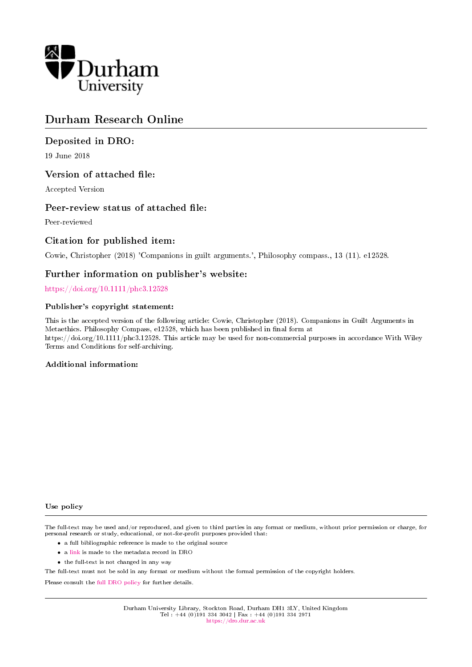

# Durham Research Online

# Deposited in DRO:

19 June 2018

# Version of attached file:

Accepted Version

## Peer-review status of attached file:

Peer-reviewed

# Citation for published item:

Cowie, Christopher (2018) 'Companions in guilt arguments.', Philosophy compass., 13 (11). e12528.

### Further information on publisher's website:

<https://doi.org/10.1111/phc3.12528>

#### Publisher's copyright statement:

This is the accepted version of the following article: Cowie, Christopher (2018). Companions in Guilt Arguments in Metaethics. Philosophy Compass, e12528, which has been published in final form at https://doi.org/10.1111/phc3.12528. This article may be used for non-commercial purposes in accordance With Wiley Terms and Conditions for self-archiving.

#### Additional information:

#### Use policy

The full-text may be used and/or reproduced, and given to third parties in any format or medium, without prior permission or charge, for personal research or study, educational, or not-for-profit purposes provided that:

- a full bibliographic reference is made to the original source
- a [link](http://dro.dur.ac.uk/25238/) is made to the metadata record in DRO
- the full-text is not changed in any way

The full-text must not be sold in any format or medium without the formal permission of the copyright holders.

Please consult the [full DRO policy](https://dro.dur.ac.uk/policies/usepolicy.pdf) for further details.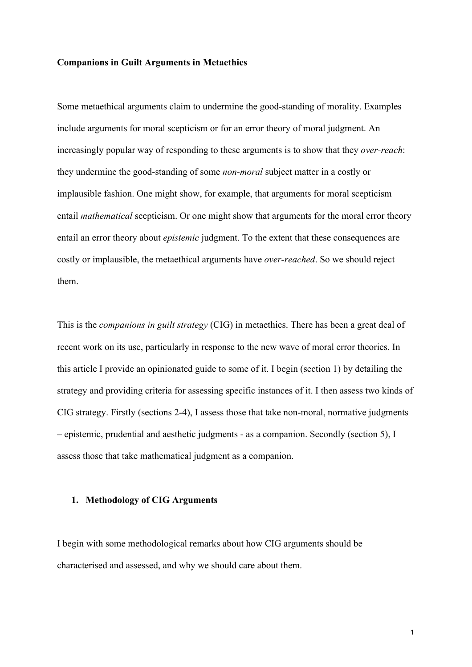### **Companions in Guilt Arguments in Metaethics**

Some metaethical arguments claim to undermine the good-standing of morality. Examples include arguments for moral scepticism or for an error theory of moral judgment. An increasingly popular way of responding to these arguments is to show that they *over-reach*: they undermine the good-standing of some *non-moral* subject matter in a costly or implausible fashion. One might show, for example, that arguments for moral scepticism entail *mathematical* scepticism. Or one might show that arguments for the moral error theory entail an error theory about *epistemic* judgment. To the extent that these consequences are costly or implausible, the metaethical arguments have *over-reached*. So we should reject them.

This is the *companions in guilt strategy* (CIG) in metaethics. There has been a great deal of recent work on its use, particularly in response to the new wave of moral error theories. In this article I provide an opinionated guide to some of it. I begin (section 1) by detailing the strategy and providing criteria for assessing specific instances of it. I then assess two kinds of CIG strategy. Firstly (sections 2-4), I assess those that take non-moral, normative judgments – epistemic, prudential and aesthetic judgments - as a companion. Secondly (section 5), I assess those that take mathematical judgment as a companion.

### **1. Methodology of CIG Arguments**

I begin with some methodological remarks about how CIG arguments should be characterised and assessed, and why we should care about them.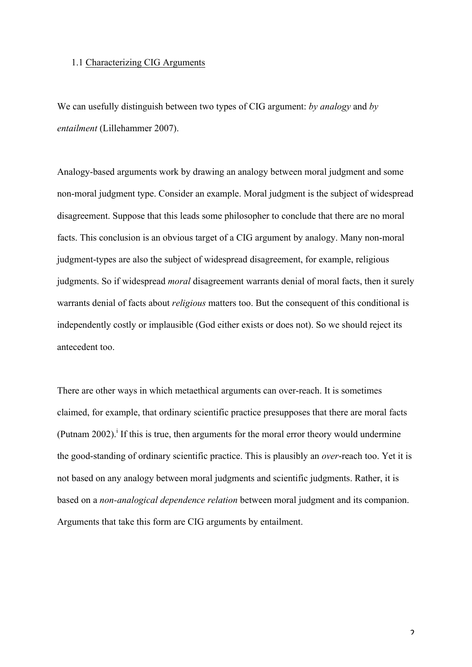### 1.1 Characterizing CIG Arguments

We can usefully distinguish between two types of CIG argument: *by analogy* and *by entailment* (Lillehammer 2007).

Analogy-based arguments work by drawing an analogy between moral judgment and some non-moral judgment type. Consider an example. Moral judgment is the subject of widespread disagreement. Suppose that this leads some philosopher to conclude that there are no moral facts. This conclusion is an obvious target of a CIG argument by analogy. Many non-moral judgment-types are also the subject of widespread disagreement, for example, religious judgments. So if widespread *moral* disagreement warrants denial of moral facts, then it surely warrants denial of facts about *religious* matters too. But the consequent of this conditional is independently costly or implausible (God either exists or does not). So we should reject its antecedent too.

There are other ways in which metaethical arguments can over-reach. It is sometimes claimed, for example, that ordinary scientific practice presupposes that there are moral facts (Putnam 2002).<sup>i</sup> If this is true, then arguments for the moral error theory would undermine the good-standing of ordinary scientific practice. This is plausibly an *over*-reach too. Yet it is not based on any analogy between moral judgments and scientific judgments. Rather, it is based on a *non-analogical dependence relation* between moral judgment and its companion. Arguments that take this form are CIG arguments by entailment.

 $\overline{\mathbf{c}}$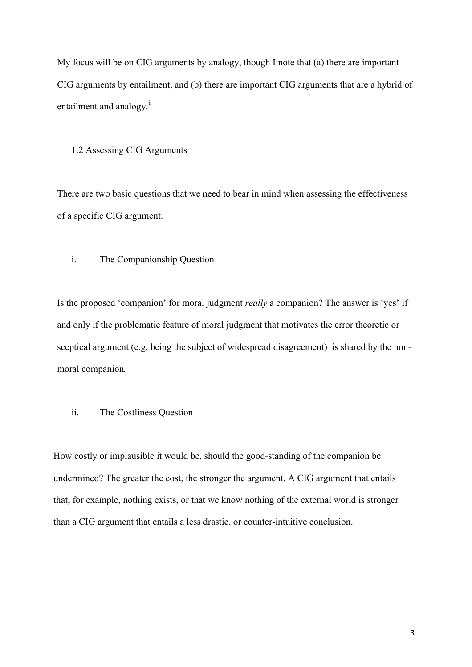My focus will be on CIG arguments by analogy, though I note that (a) there are important CIG arguments by entailment, and (b) there are important CIG arguments that are a hybrid of entailment and analogy.<sup>ii</sup>

## 1.2 Assessing CIG Arguments

There are two basic questions that we need to bear in mind when assessing the effectiveness of a specific CIG argument.

## i. The Companionship Question

Is the proposed 'companion' for moral judgment *really* a companion? The answer is 'yes' if and only if the problematic feature of moral judgment that motivates the error theoretic or sceptical argument (e.g. being the subject of widespread disagreement) is shared by the nonmoral companion*.*

# ii. The Costliness Question

How costly or implausible it would be, should the good-standing of the companion be undermined? The greater the cost, the stronger the argument. A CIG argument that entails that, for example, nothing exists, or that we know nothing of the external world is stronger than a CIG argument that entails a less drastic, or counter-intuitive conclusion.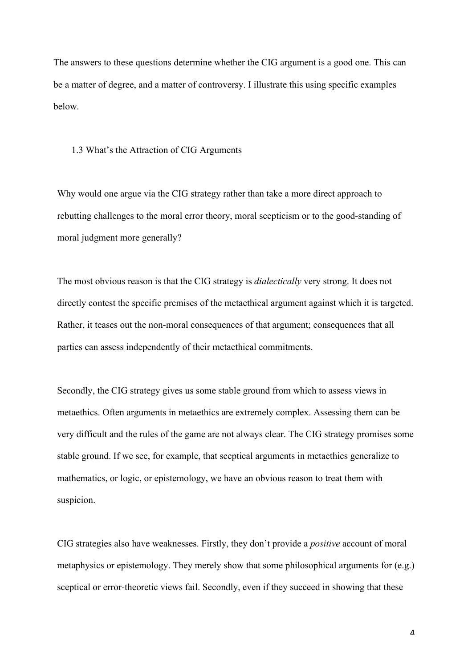The answers to these questions determine whether the CIG argument is a good one. This can be a matter of degree, and a matter of controversy. I illustrate this using specific examples below.

### 1.3 What's the Attraction of CIG Arguments

Why would one argue via the CIG strategy rather than take a more direct approach to rebutting challenges to the moral error theory, moral scepticism or to the good-standing of moral judgment more generally?

The most obvious reason is that the CIG strategy is *dialectically* very strong. It does not directly contest the specific premises of the metaethical argument against which it is targeted. Rather, it teases out the non-moral consequences of that argument; consequences that all parties can assess independently of their metaethical commitments.

Secondly, the CIG strategy gives us some stable ground from which to assess views in metaethics. Often arguments in metaethics are extremely complex. Assessing them can be very difficult and the rules of the game are not always clear. The CIG strategy promises some stable ground. If we see, for example, that sceptical arguments in metaethics generalize to mathematics, or logic, or epistemology, we have an obvious reason to treat them with suspicion.

CIG strategies also have weaknesses. Firstly, they don't provide a *positive* account of moral metaphysics or epistemology. They merely show that some philosophical arguments for (e.g.) sceptical or error-theoretic views fail. Secondly, even if they succeed in showing that these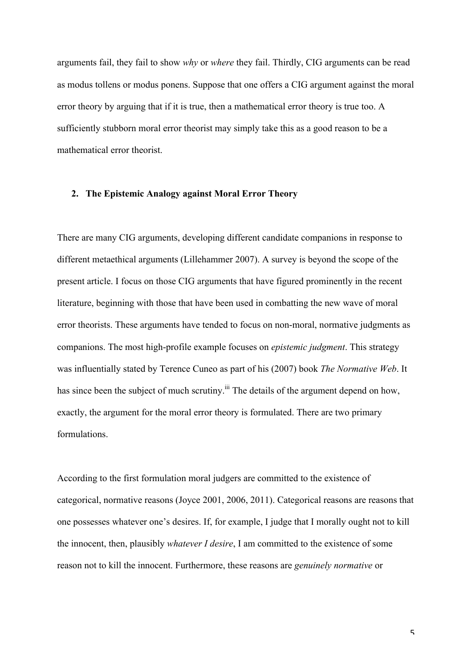arguments fail, they fail to show *why* or *where* they fail. Thirdly, CIG arguments can be read as modus tollens or modus ponens. Suppose that one offers a CIG argument against the moral error theory by arguing that if it is true, then a mathematical error theory is true too. A sufficiently stubborn moral error theorist may simply take this as a good reason to be a mathematical error theorist.

### **2. The Epistemic Analogy against Moral Error Theory**

There are many CIG arguments, developing different candidate companions in response to different metaethical arguments (Lillehammer 2007). A survey is beyond the scope of the present article. I focus on those CIG arguments that have figured prominently in the recent literature, beginning with those that have been used in combatting the new wave of moral error theorists. These arguments have tended to focus on non-moral, normative judgments as companions. The most high-profile example focuses on *epistemic judgment*. This strategy was influentially stated by Terence Cuneo as part of his (2007) book *The Normative Web*. It has since been the subject of much scrutiny.<sup>iii</sup> The details of the argument depend on how, exactly, the argument for the moral error theory is formulated. There are two primary formulations.

According to the first formulation moral judgers are committed to the existence of categorical, normative reasons (Joyce 2001, 2006, 2011). Categorical reasons are reasons that one possesses whatever one's desires. If, for example, I judge that I morally ought not to kill the innocent, then, plausibly *whatever I desire*, I am committed to the existence of some reason not to kill the innocent. Furthermore, these reasons are *genuinely normative* or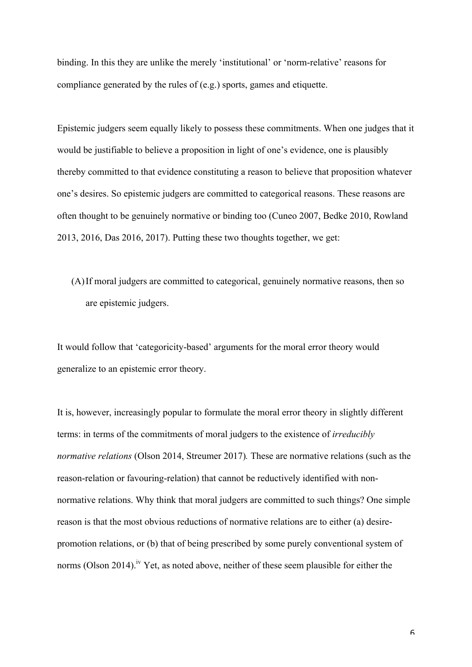binding. In this they are unlike the merely 'institutional' or 'norm-relative' reasons for compliance generated by the rules of (e.g.) sports, games and etiquette.

Epistemic judgers seem equally likely to possess these commitments. When one judges that it would be justifiable to believe a proposition in light of one's evidence, one is plausibly thereby committed to that evidence constituting a reason to believe that proposition whatever one's desires. So epistemic judgers are committed to categorical reasons. These reasons are often thought to be genuinely normative or binding too (Cuneo 2007, Bedke 2010, Rowland 2013, 2016, Das 2016, 2017). Putting these two thoughts together, we get:

(A)If moral judgers are committed to categorical, genuinely normative reasons, then so are epistemic judgers.

It would follow that 'categoricity-based' arguments for the moral error theory would generalize to an epistemic error theory.

It is, however, increasingly popular to formulate the moral error theory in slightly different terms: in terms of the commitments of moral judgers to the existence of *irreducibly normative relations* (Olson 2014, Streumer 2017)*.* These are normative relations (such as the reason-relation or favouring-relation) that cannot be reductively identified with nonnormative relations. Why think that moral judgers are committed to such things? One simple reason is that the most obvious reductions of normative relations are to either (a) desirepromotion relations, or (b) that of being prescribed by some purely conventional system of norms (Olson 2014).<sup>iv</sup> Yet, as noted above, neither of these seem plausible for either the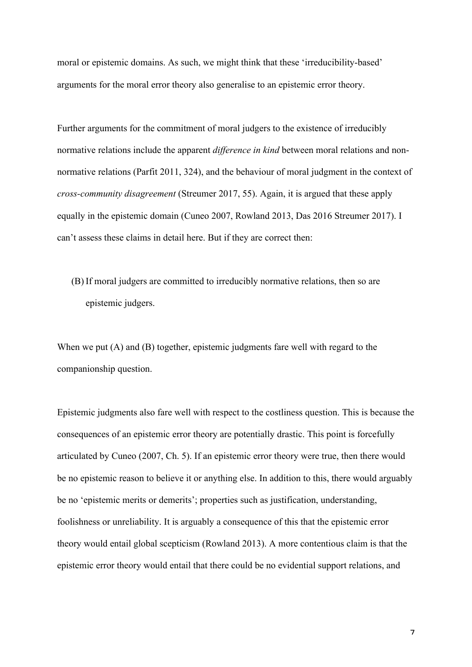moral or epistemic domains. As such, we might think that these 'irreducibility-based' arguments for the moral error theory also generalise to an epistemic error theory.

Further arguments for the commitment of moral judgers to the existence of irreducibly normative relations include the apparent *difference in kind* between moral relations and nonnormative relations (Parfit 2011, 324), and the behaviour of moral judgment in the context of *cross-community disagreement* (Streumer 2017, 55). Again, it is argued that these apply equally in the epistemic domain (Cuneo 2007, Rowland 2013, Das 2016 Streumer 2017). I can't assess these claims in detail here. But if they are correct then:

(B) If moral judgers are committed to irreducibly normative relations, then so are epistemic judgers.

When we put  $(A)$  and  $(B)$  together, epistemic judgments fare well with regard to the companionship question.

Epistemic judgments also fare well with respect to the costliness question. This is because the consequences of an epistemic error theory are potentially drastic. This point is forcefully articulated by Cuneo (2007, Ch. 5). If an epistemic error theory were true, then there would be no epistemic reason to believe it or anything else. In addition to this, there would arguably be no 'epistemic merits or demerits'; properties such as justification, understanding, foolishness or unreliability. It is arguably a consequence of this that the epistemic error theory would entail global scepticism (Rowland 2013). A more contentious claim is that the epistemic error theory would entail that there could be no evidential support relations, and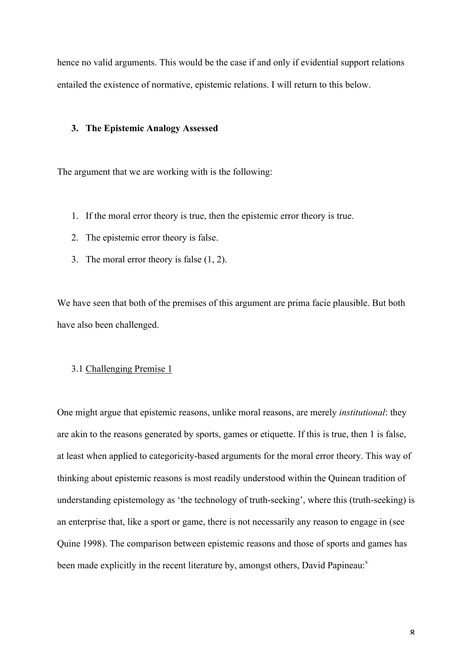hence no valid arguments. This would be the case if and only if evidential support relations entailed the existence of normative, epistemic relations. I will return to this below.

# **3. The Epistemic Analogy Assessed**

The argument that we are working with is the following:

- 1. If the moral error theory is true, then the epistemic error theory is true.
- 2. The epistemic error theory is false.
- 3. The moral error theory is false (1, 2).

We have seen that both of the premises of this argument are prima facie plausible. But both have also been challenged.

# 3.1 Challenging Premise 1

One might argue that epistemic reasons, unlike moral reasons, are merely *institutional*: they are akin to the reasons generated by sports, games or etiquette. If this is true, then 1 is false, at least when applied to categoricity-based arguments for the moral error theory. This way of thinking about epistemic reasons is most readily understood within the Quinean tradition of understanding epistemology as 'the technology of truth-seeking', where this (truth-seeking) is an enterprise that, like a sport or game, there is not necessarily any reason to engage in (see Quine 1998). The comparison between epistemic reasons and those of sports and games has been made explicitly in the recent literature by, amongst others, David Papineau: $v$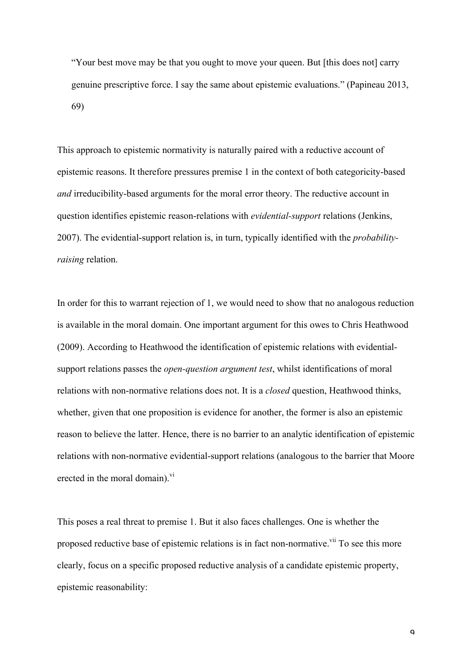"Your best move may be that you ought to move your queen. But [this does not] carry genuine prescriptive force. I say the same about epistemic evaluations." (Papineau 2013, 69)

This approach to epistemic normativity is naturally paired with a reductive account of epistemic reasons. It therefore pressures premise 1 in the context of both categoricity-based *and* irreducibility-based arguments for the moral error theory. The reductive account in question identifies epistemic reason-relations with *evidential-support* relations (Jenkins, 2007). The evidential-support relation is, in turn, typically identified with the *probabilityraising* relation.

In order for this to warrant rejection of 1, we would need to show that no analogous reduction is available in the moral domain. One important argument for this owes to Chris Heathwood (2009). According to Heathwood the identification of epistemic relations with evidentialsupport relations passes the *open-question argument test*, whilst identifications of moral relations with non-normative relations does not. It is a *closed* question, Heathwood thinks, whether, given that one proposition is evidence for another, the former is also an epistemic reason to believe the latter. Hence, there is no barrier to an analytic identification of epistemic relations with non-normative evidential-support relations (analogous to the barrier that Moore erected in the moral domain).<sup>vi</sup>

This poses a real threat to premise 1. But it also faces challenges. One is whether the proposed reductive base of epistemic relations is in fact non-normative. To see this more clearly, focus on a specific proposed reductive analysis of a candidate epistemic property, epistemic reasonability: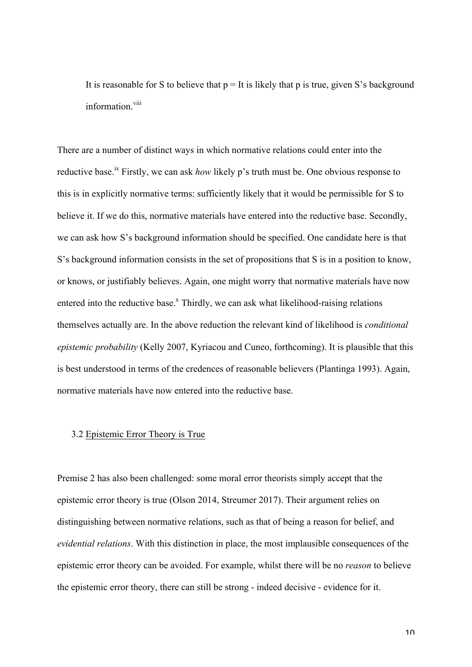It is reasonable for S to believe that  $p = It$  is likely that p is true, given S's background information viii

There are a number of distinct ways in which normative relations could enter into the reductive base.<sup>ix</sup> Firstly, we can ask *how* likely p's truth must be. One obvious response to this is in explicitly normative terms: sufficiently likely that it would be permissible for S to believe it. If we do this, normative materials have entered into the reductive base. Secondly, we can ask how S's background information should be specified. One candidate here is that S's background information consists in the set of propositions that S is in a position to know, or knows, or justifiably believes. Again, one might worry that normative materials have now entered into the reductive base.<sup>x</sup> Thirdly, we can ask what likelihood-raising relations themselves actually are. In the above reduction the relevant kind of likelihood is *conditional epistemic probability* (Kelly 2007, Kyriacou and Cuneo, forthcoming). It is plausible that this is best understood in terms of the credences of reasonable believers (Plantinga 1993). Again, normative materials have now entered into the reductive base.

# 3.2 Epistemic Error Theory is True

Premise 2 has also been challenged: some moral error theorists simply accept that the epistemic error theory is true (Olson 2014, Streumer 2017). Their argument relies on distinguishing between normative relations, such as that of being a reason for belief, and *evidential relations*. With this distinction in place, the most implausible consequences of the epistemic error theory can be avoided. For example, whilst there will be no *reason* to believe the epistemic error theory, there can still be strong - indeed decisive - evidence for it.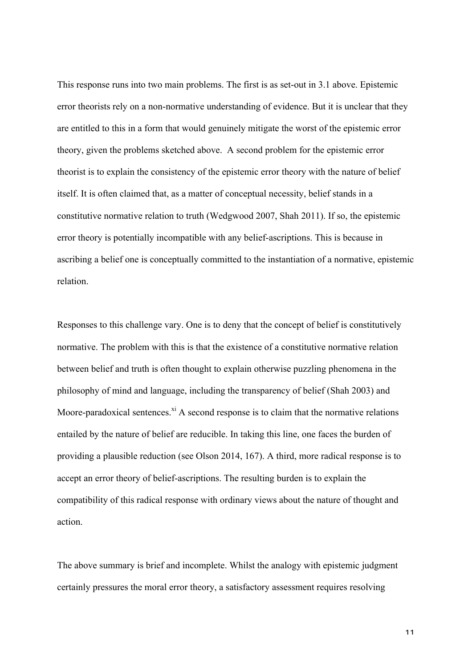This response runs into two main problems. The first is as set-out in 3.1 above. Epistemic error theorists rely on a non-normative understanding of evidence. But it is unclear that they are entitled to this in a form that would genuinely mitigate the worst of the epistemic error theory, given the problems sketched above. A second problem for the epistemic error theorist is to explain the consistency of the epistemic error theory with the nature of belief itself. It is often claimed that, as a matter of conceptual necessity, belief stands in a constitutive normative relation to truth (Wedgwood 2007, Shah 2011). If so, the epistemic error theory is potentially incompatible with any belief-ascriptions. This is because in ascribing a belief one is conceptually committed to the instantiation of a normative, epistemic relation.

Responses to this challenge vary. One is to deny that the concept of belief is constitutively normative. The problem with this is that the existence of a constitutive normative relation between belief and truth is often thought to explain otherwise puzzling phenomena in the philosophy of mind and language, including the transparency of belief (Shah 2003) and Moore-paradoxical sentences. $x_i$  A second response is to claim that the normative relations entailed by the nature of belief are reducible. In taking this line, one faces the burden of providing a plausible reduction (see Olson 2014, 167). A third, more radical response is to accept an error theory of belief-ascriptions. The resulting burden is to explain the compatibility of this radical response with ordinary views about the nature of thought and action.

The above summary is brief and incomplete. Whilst the analogy with epistemic judgment certainly pressures the moral error theory, a satisfactory assessment requires resolving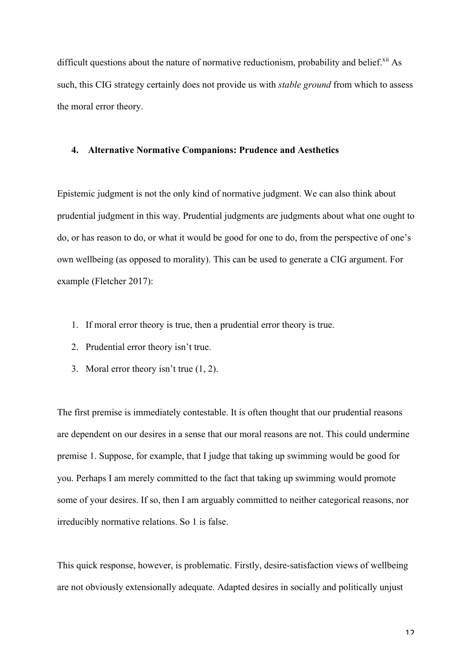difficult questions about the nature of normative reductionism, probability and belief. ${}^{xii}$  As such, this CIG strategy certainly does not provide us with *stable ground* from which to assess the moral error theory.

### **4. Alternative Normative Companions: Prudence and Aesthetics**

Epistemic judgment is not the only kind of normative judgment. We can also think about prudential judgment in this way. Prudential judgments are judgments about what one ought to do, or has reason to do, or what it would be good for one to do, from the perspective of one's own wellbeing (as opposed to morality). This can be used to generate a CIG argument. For example (Fletcher 2017):

- 1. If moral error theory is true, then a prudential error theory is true.
- 2. Prudential error theory isn't true.
- 3. Moral error theory isn't true (1, 2).

The first premise is immediately contestable. It is often thought that our prudential reasons are dependent on our desires in a sense that our moral reasons are not. This could undermine premise 1. Suppose, for example, that I judge that taking up swimming would be good for you. Perhaps I am merely committed to the fact that taking up swimming would promote some of your desires. If so, then I am arguably committed to neither categorical reasons, nor irreducibly normative relations. So 1 is false.

This quick response, however, is problematic. Firstly, desire-satisfaction views of wellbeing are not obviously extensionally adequate. Adapted desires in socially and politically unjust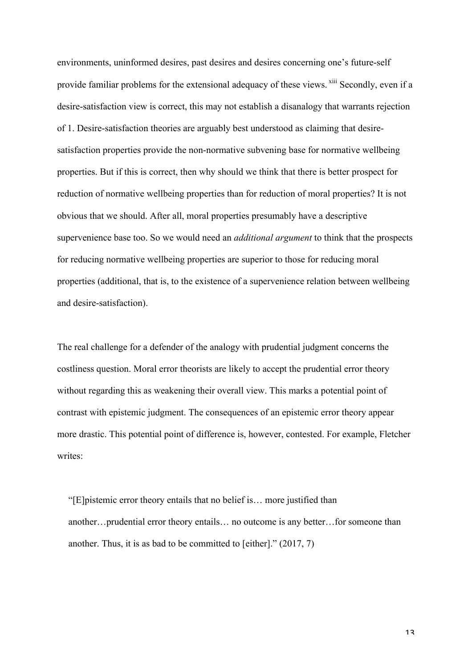environments, uninformed desires, past desires and desires concerning one's future-self provide familiar problems for the extensional adequacy of these views. <sup>xiii</sup> Secondly, even if a desire-satisfaction view is correct, this may not establish a disanalogy that warrants rejection of 1. Desire-satisfaction theories are arguably best understood as claiming that desiresatisfaction properties provide the non-normative subvening base for normative wellbeing properties. But if this is correct, then why should we think that there is better prospect for reduction of normative wellbeing properties than for reduction of moral properties? It is not obvious that we should. After all, moral properties presumably have a descriptive supervenience base too. So we would need an *additional argument* to think that the prospects for reducing normative wellbeing properties are superior to those for reducing moral properties (additional, that is, to the existence of a supervenience relation between wellbeing and desire-satisfaction).

The real challenge for a defender of the analogy with prudential judgment concerns the costliness question. Moral error theorists are likely to accept the prudential error theory without regarding this as weakening their overall view. This marks a potential point of contrast with epistemic judgment. The consequences of an epistemic error theory appear more drastic. This potential point of difference is, however, contested. For example, Fletcher writes<sup>-</sup>

"[E]pistemic error theory entails that no belief is… more justified than another…prudential error theory entails… no outcome is any better…for someone than another. Thus, it is as bad to be committed to [either]." (2017, 7)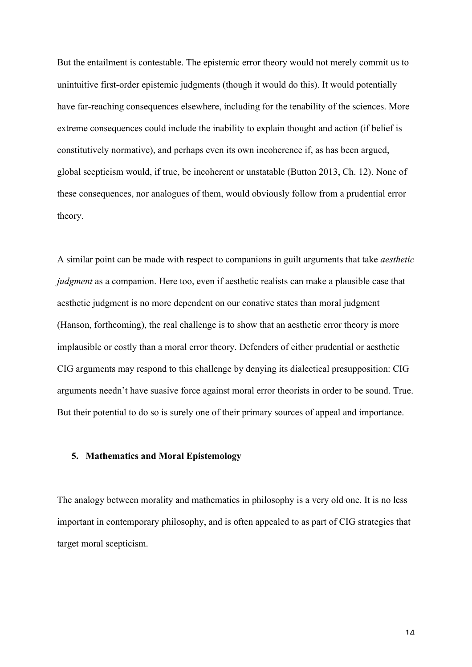But the entailment is contestable. The epistemic error theory would not merely commit us to unintuitive first-order epistemic judgments (though it would do this). It would potentially have far-reaching consequences elsewhere, including for the tenability of the sciences. More extreme consequences could include the inability to explain thought and action (if belief is constitutively normative), and perhaps even its own incoherence if, as has been argued, global scepticism would, if true, be incoherent or unstatable (Button 2013, Ch. 12). None of these consequences, nor analogues of them, would obviously follow from a prudential error theory.

A similar point can be made with respect to companions in guilt arguments that take *aesthetic judgment* as a companion. Here too, even if aesthetic realists can make a plausible case that aesthetic judgment is no more dependent on our conative states than moral judgment (Hanson, forthcoming), the real challenge is to show that an aesthetic error theory is more implausible or costly than a moral error theory. Defenders of either prudential or aesthetic CIG arguments may respond to this challenge by denying its dialectical presupposition: CIG arguments needn't have suasive force against moral error theorists in order to be sound. True. But their potential to do so is surely one of their primary sources of appeal and importance.

# **5. Mathematics and Moral Epistemology**

The analogy between morality and mathematics in philosophy is a very old one. It is no less important in contemporary philosophy, and is often appealed to as part of CIG strategies that target moral scepticism.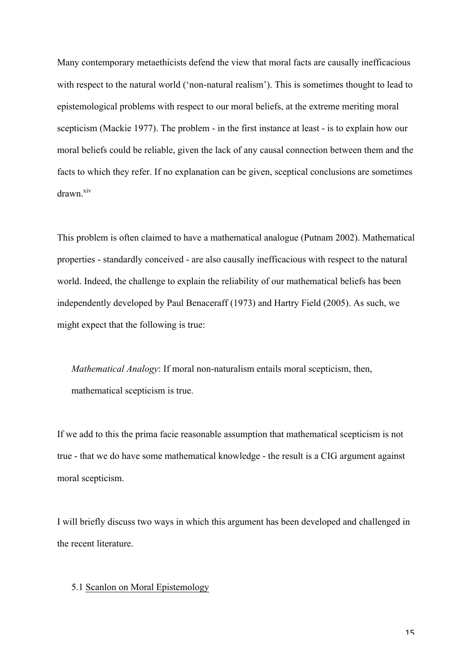Many contemporary metaethicists defend the view that moral facts are causally inefficacious with respect to the natural world ('non-natural realism'). This is sometimes thought to lead to epistemological problems with respect to our moral beliefs, at the extreme meriting moral scepticism (Mackie 1977). The problem - in the first instance at least - is to explain how our moral beliefs could be reliable, given the lack of any causal connection between them and the facts to which they refer. If no explanation can be given, sceptical conclusions are sometimes drawn<sup>xiv</sup>

This problem is often claimed to have a mathematical analogue (Putnam 2002). Mathematical properties - standardly conceived - are also causally inefficacious with respect to the natural world. Indeed, the challenge to explain the reliability of our mathematical beliefs has been independently developed by Paul Benaceraff (1973) and Hartry Field (2005). As such, we might expect that the following is true:

*Mathematical Analogy*: If moral non-naturalism entails moral scepticism, then, mathematical scepticism is true.

If we add to this the prima facie reasonable assumption that mathematical scepticism is not true - that we do have some mathematical knowledge - the result is a CIG argument against moral scepticism.

I will briefly discuss two ways in which this argument has been developed and challenged in the recent literature.

# 5.1 Scanlon on Moral Epistemology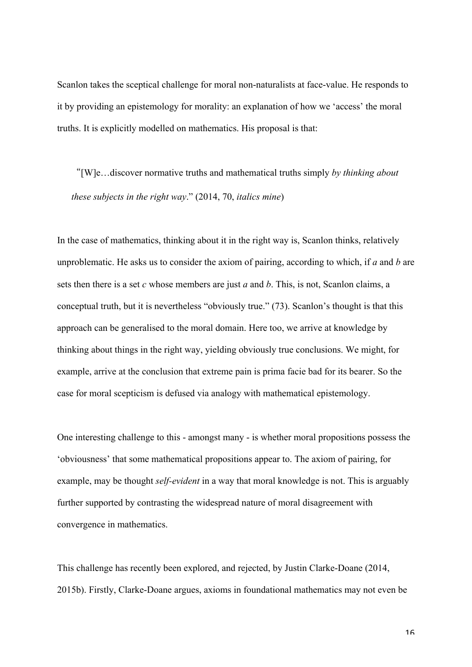Scanlon takes the sceptical challenge for moral non-naturalists at face-value. He responds to it by providing an epistemology for morality: an explanation of how we 'access' the moral truths. It is explicitly modelled on mathematics. His proposal is that:

"[W]e…discover normative truths and mathematical truths simply *by thinking about these subjects in the right way*." (2014, 70, *italics mine*)

In the case of mathematics, thinking about it in the right way is, Scanlon thinks, relatively unproblematic. He asks us to consider the axiom of pairing, according to which, if *a* and *b* are sets then there is a set *c* whose members are just *a* and *b*. This, is not, Scanlon claims, a conceptual truth, but it is nevertheless "obviously true." (73). Scanlon's thought is that this approach can be generalised to the moral domain. Here too, we arrive at knowledge by thinking about things in the right way, yielding obviously true conclusions. We might, for example, arrive at the conclusion that extreme pain is prima facie bad for its bearer. So the case for moral scepticism is defused via analogy with mathematical epistemology.

One interesting challenge to this - amongst many - is whether moral propositions possess the 'obviousness' that some mathematical propositions appear to. The axiom of pairing, for example, may be thought *self-evident* in a way that moral knowledge is not. This is arguably further supported by contrasting the widespread nature of moral disagreement with convergence in mathematics.

This challenge has recently been explored, and rejected, by Justin Clarke-Doane (2014, 2015b). Firstly, Clarke-Doane argues, axioms in foundational mathematics may not even be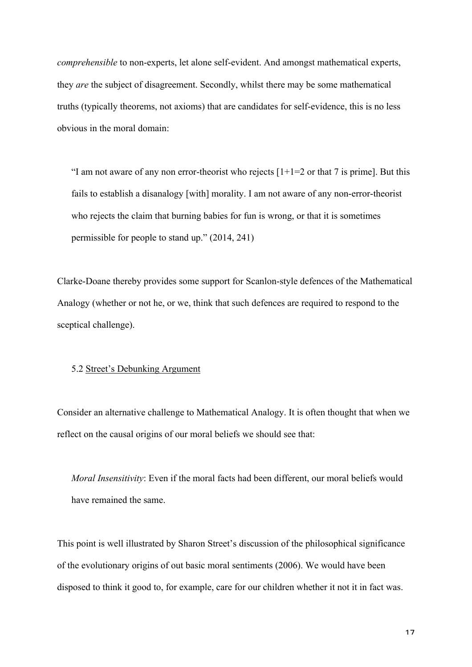*comprehensible* to non-experts, let alone self-evident. And amongst mathematical experts, they *are* the subject of disagreement. Secondly, whilst there may be some mathematical truths (typically theorems, not axioms) that are candidates for self-evidence, this is no less obvious in the moral domain:

"I am not aware of any non error-theorist who rejects  $[1+1=2$  or that 7 is prime]. But this fails to establish a disanalogy [with] morality. I am not aware of any non-error-theorist who rejects the claim that burning babies for fun is wrong, or that it is sometimes permissible for people to stand up." (2014, 241)

Clarke-Doane thereby provides some support for Scanlon-style defences of the Mathematical Analogy (whether or not he, or we, think that such defences are required to respond to the sceptical challenge).

# 5.2 Street's Debunking Argument

Consider an alternative challenge to Mathematical Analogy. It is often thought that when we reflect on the causal origins of our moral beliefs we should see that:

*Moral Insensitivity*: Even if the moral facts had been different, our moral beliefs would have remained the same.

This point is well illustrated by Sharon Street's discussion of the philosophical significance of the evolutionary origins of out basic moral sentiments (2006). We would have been disposed to think it good to, for example, care for our children whether it not it in fact was.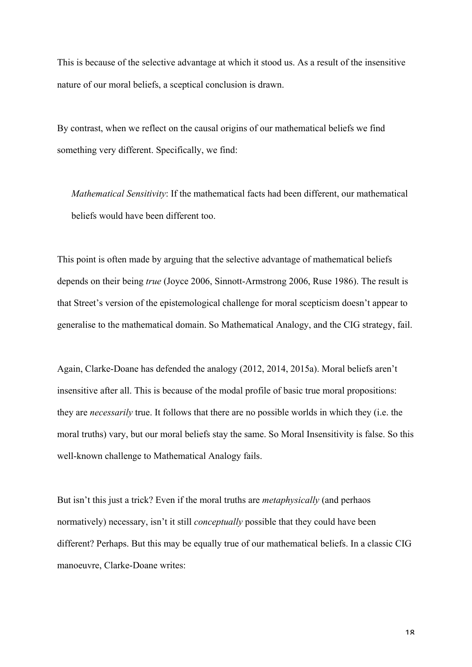This is because of the selective advantage at which it stood us. As a result of the insensitive nature of our moral beliefs, a sceptical conclusion is drawn.

By contrast, when we reflect on the causal origins of our mathematical beliefs we find something very different. Specifically, we find:

*Mathematical Sensitivity*: If the mathematical facts had been different, our mathematical beliefs would have been different too.

This point is often made by arguing that the selective advantage of mathematical beliefs depends on their being *true* (Joyce 2006, Sinnott-Armstrong 2006, Ruse 1986). The result is that Street's version of the epistemological challenge for moral scepticism doesn't appear to generalise to the mathematical domain. So Mathematical Analogy, and the CIG strategy, fail.

Again, Clarke-Doane has defended the analogy (2012, 2014, 2015a). Moral beliefs aren't insensitive after all. This is because of the modal profile of basic true moral propositions: they are *necessarily* true. It follows that there are no possible worlds in which they (i.e. the moral truths) vary, but our moral beliefs stay the same. So Moral Insensitivity is false. So this well-known challenge to Mathematical Analogy fails.

But isn't this just a trick? Even if the moral truths are *metaphysically* (and perhaos normatively) necessary, isn't it still *conceptually* possible that they could have been different? Perhaps. But this may be equally true of our mathematical beliefs. In a classic CIG manoeuvre, Clarke-Doane writes: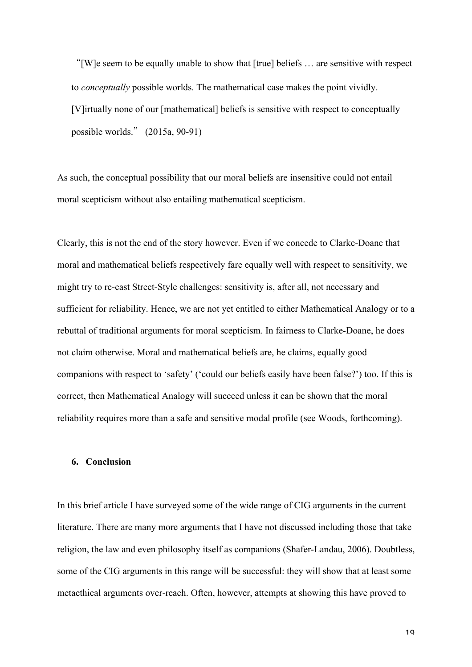"[W]e seem to be equally unable to show that [true] beliefs … are sensitive with respect to *conceptually* possible worlds. The mathematical case makes the point vividly. [V]irtually none of our [mathematical] beliefs is sensitive with respect to conceptually possible worlds." (2015a, 90-91)

As such, the conceptual possibility that our moral beliefs are insensitive could not entail moral scepticism without also entailing mathematical scepticism.

Clearly, this is not the end of the story however. Even if we concede to Clarke-Doane that moral and mathematical beliefs respectively fare equally well with respect to sensitivity, we might try to re-cast Street-Style challenges: sensitivity is, after all, not necessary and sufficient for reliability. Hence, we are not yet entitled to either Mathematical Analogy or to a rebuttal of traditional arguments for moral scepticism. In fairness to Clarke-Doane, he does not claim otherwise. Moral and mathematical beliefs are, he claims, equally good companions with respect to 'safety' ('could our beliefs easily have been false?') too. If this is correct, then Mathematical Analogy will succeed unless it can be shown that the moral reliability requires more than a safe and sensitive modal profile (see Woods, forthcoming).

### **6. Conclusion**

In this brief article I have surveyed some of the wide range of CIG arguments in the current literature. There are many more arguments that I have not discussed including those that take religion, the law and even philosophy itself as companions (Shafer-Landau, 2006). Doubtless, some of the CIG arguments in this range will be successful: they will show that at least some metaethical arguments over-reach. Often, however, attempts at showing this have proved to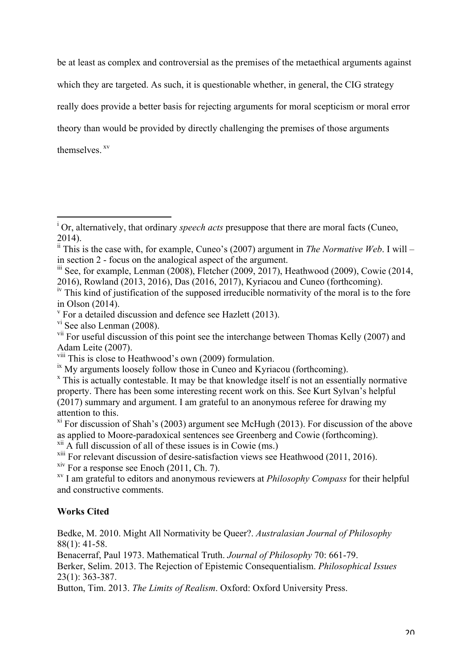be at least as complex and controversial as the premises of the metaethical arguments against which they are targeted. As such, it is questionable whether, in general, the CIG strategy really does provide a better basis for rejecting arguments for moral scepticism or moral error theory than would be provided by directly challenging the premises of those arguments themselves<sup>xv</sup>

 $xii$  A full discussion of all of these issues is in Cowie (ms.)

<sup>xiii</sup> For relevant discussion of desire-satisfaction views see Heathwood (2011, 2016).<br><sup>xiv</sup> For a response see Enoch (2011, Ch. 7).

<sup>xv</sup> I am grateful to editors and anonymous reviewers at *Philosophy Compass* for their helpful and constructive comments.

# **Works Cited**

Bedke, M. 2010. Might All Normativity be Queer?. *Australasian Journal of Philosophy* 88(1): 41-58.

Benacerraf, Paul 1973. Mathematical Truth. *Journal of Philosophy* 70: 661-79.

Berker, Selim. 2013. The Rejection of Epistemic Consequentialism. *Philosophical Issues* 23(1): 363-387.

Button, Tim. 2013. *The Limits of Realism*. Oxford: Oxford University Press.

<sup>&</sup>lt;sup>i</sup> Or, alternatively, that ordinary *speech acts* presuppose that there are moral facts (Cuneo, 2014).

 $\frac{1}{2}$ <sup>ii</sup> This is the case with, for example, Cuneo's (2007) argument in *The Normative Web*. I will – in section 2 - focus on the analogical aspect of the argument.

 $\frac{\text{iii}}{\text{2008}}$ , Fletcher (2009, 2017), Heathwood (2009), Cowie (2014, 2016), Rowland (2013, 2016), Das (2016, 2017), Kyriacou and Cuneo (forthcoming).

 $\mu$ <sup>iv</sup> This kind of justification of the supposed irreducible normativity of the moral is to the fore in Olson (2014).

 $\rm{v}$  For a detailed discussion and defence see Hazlett (2013).

vi See also Lenman (2008).

<sup>&</sup>lt;sup>vii</sup> For useful discussion of this point see the interchange between Thomas Kelly (2007) and Adam Leite (2007).

<sup>&</sup>lt;sup>viii</sup> This is close to Heathwood's own (2009) formulation.<br><sup>ix</sup> My arguments loosely follow those in Cuneo and Kyriacou (forthcoming).

 $\overline{X}$  This is actually contestable. It may be that knowledge itself is not an essentially normative property. There has been some interesting recent work on this. See Kurt Sylvan's helpful (2017) summary and argument. I am grateful to an anonymous referee for drawing my attention to this.

 $x_i$ <sup>xi</sup> For discussion of Shah's (2003) argument see McHugh (2013). For discussion of the above as applied to Moore-paradoxical sentences see Greenberg and Cowie (forthcoming).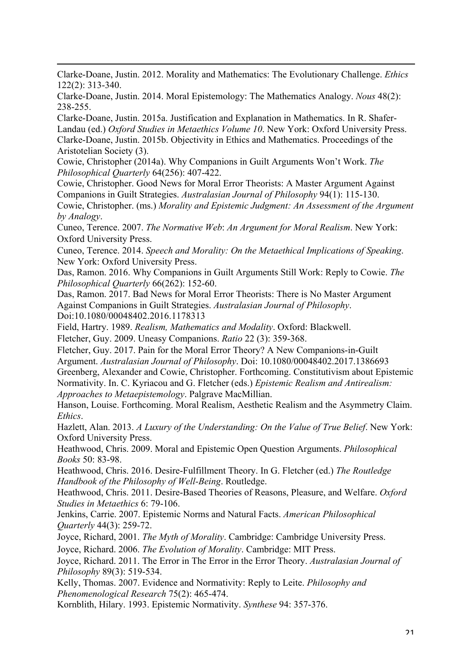Clarke-Doane, Justin. 2012. Morality and Mathematics: The Evolutionary Challenge. *Ethics* 122(2): 313-340.

<u> 1989 - Jan Sarajević, politički predsjednik i politički predsjednik i politički politički politički političk</u>

Clarke-Doane, Justin. 2014. Moral Epistemology: The Mathematics Analogy. *Nous* 48(2): 238-255.

Clarke-Doane, Justin. 2015a. Justification and Explanation in Mathematics. In R. Shafer-Landau (ed.) *Oxford Studies in Metaethics Volume 10*. New York: Oxford University Press. Clarke-Doane, Justin. 2015b. Objectivity in Ethics and Mathematics. Proceedings of the Aristotelian Society (3).

Cowie, Christopher (2014a). Why Companions in Guilt Arguments Won't Work. *The Philosophical Quarterly* 64(256): 407-422.

Cowie, Christopher. Good News for Moral Error Theorists: A Master Argument Against Companions in Guilt Strategies. *Australasian Journal of Philosophy* 94(1): 115-130. Cowie, Christopher. (ms.) *Morality and Epistemic Judgment: An Assessment of the Argument* 

*by Analogy*. Cuneo, Terence. 2007. *The Normative Web*: *An Argument for Moral Realism*. New York: Oxford University Press.

Cuneo, Terence. 2014. *Speech and Morality: On the Metaethical Implications of Speaking*. New York: Oxford University Press.

Das, Ramon. 2016. Why Companions in Guilt Arguments Still Work: Reply to Cowie. *The Philosophical Quarterly* 66(262): 152-60.

Das, Ramon. 2017. Bad News for Moral Error Theorists: There is No Master Argument Against Companions in Guilt Strategies. *Australasian Journal of Philosophy*. Doi:10.1080/00048402.2016.1178313

Field, Hartry. 1989. *Realism, Mathematics and Modality*. Oxford: Blackwell.

Fletcher, Guy. 2009. Uneasy Companions. *Ratio* 22 (3): 359-368.

Fletcher, Guy. 2017. Pain for the Moral Error Theory? A New Companions-in-Guilt Argument. *Australasian Journal of Philosophy*. Doi: 10.1080/00048402.2017.1386693 Greenberg, Alexander and Cowie, Christopher. Forthcoming. Constitutivism about Epistemic Normativity. In. C. Kyriacou and G. Fletcher (eds.) *Epistemic Realism and Antirealism: Approaches to Metaepistemology*. Palgrave MacMillian.

Hanson, Louise. Forthcoming. Moral Realism, Aesthetic Realism and the Asymmetry Claim. *Ethics*.

Hazlett, Alan. 2013. *A Luxury of the Understanding: On the Value of True Belief*. New York: Oxford University Press.

Heathwood, Chris. 2009. Moral and Epistemic Open Question Arguments. *Philosophical Books* 50: 83-98.

Heathwood, Chris. 2016. Desire-Fulfillment Theory. In G. Fletcher (ed.) *The Routledge Handbook of the Philosophy of Well-Being*. Routledge.

Heathwood, Chris. 2011. Desire-Based Theories of Reasons, Pleasure, and Welfare. *Oxford Studies in Metaethics* 6: 79-106.

Jenkins, Carrie. 2007. Epistemic Norms and Natural Facts. *American Philosophical Quarterly* 44(3): 259-72.

Joyce, Richard, 2001. *The Myth of Morality*. Cambridge: Cambridge University Press.

Joyce, Richard. 2006. *The Evolution of Morality*. Cambridge: MIT Press.

Joyce, Richard. 2011. The Error in The Error in the Error Theory. *Australasian Journal of Philosophy* 89(3): 519-534.

Kelly, Thomas. 2007. Evidence and Normativity: Reply to Leite. *Philosophy and Phenomenological Research* 75(2): 465-474.

Kornblith, Hilary. 1993. Epistemic Normativity. *Synthese* 94: 357-376.